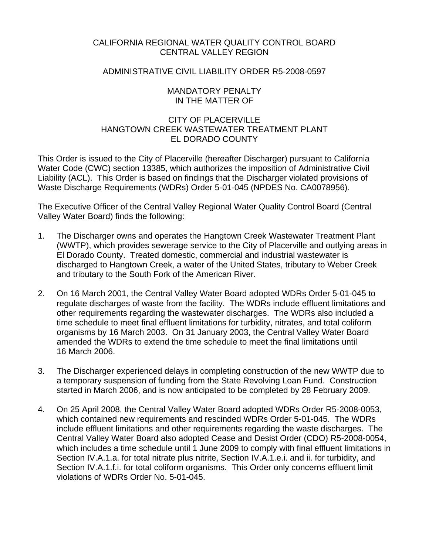# CALIFORNIA REGIONAL WATER QUALITY CONTROL BOARD CENTRAL VALLEY REGION

### ADMINISTRATIVE CIVIL LIABILITY ORDER R5-2008-0597

### MANDATORY PENALTY IN THE MATTER OF

# CITY OF PLACERVILLE HANGTOWN CREEK WASTEWATER TREATMENT PLANT EL DORADO COUNTY

This Order is issued to the City of Placerville (hereafter Discharger) pursuant to California Water Code (CWC) section 13385, which authorizes the imposition of Administrative Civil Liability (ACL). This Order is based on findings that the Discharger violated provisions of Waste Discharge Requirements (WDRs) Order 5-01-045 (NPDES No. CA0078956).

The Executive Officer of the Central Valley Regional Water Quality Control Board (Central Valley Water Board) finds the following:

- 1. The Discharger owns and operates the Hangtown Creek Wastewater Treatment Plant (WWTP), which provides sewerage service to the City of Placerville and outlying areas in El Dorado County. Treated domestic, commercial and industrial wastewater is discharged to Hangtown Creek, a water of the United States, tributary to Weber Creek and tributary to the South Fork of the American River.
- 2. On 16 March 2001, the Central Valley Water Board adopted WDRs Order 5-01-045 to regulate discharges of waste from the facility. The WDRs include effluent limitations and other requirements regarding the wastewater discharges. The WDRs also included a time schedule to meet final effluent limitations for turbidity, nitrates, and total coliform organisms by 16 March 2003. On 31 January 2003, the Central Valley Water Board amended the WDRs to extend the time schedule to meet the final limitations until 16 March 2006.
- 3. The Discharger experienced delays in completing construction of the new WWTP due to a temporary suspension of funding from the State Revolving Loan Fund. Construction started in March 2006, and is now anticipated to be completed by 28 February 2009.
- 4. On 25 April 2008, the Central Valley Water Board adopted WDRs Order R5-2008-0053, which contained new requirements and rescinded WDRs Order 5-01-045. The WDRs include effluent limitations and other requirements regarding the waste discharges. The Central Valley Water Board also adopted Cease and Desist Order (CDO) R5-2008-0054, which includes a time schedule until 1 June 2009 to comply with final effluent limitations in Section IV.A.1.a. for total nitrate plus nitrite, Section IV.A.1.e.i. and ii. for turbidity, and Section IV.A.1.f.i. for total coliform organisms. This Order only concerns effluent limit violations of WDRs Order No. 5-01-045.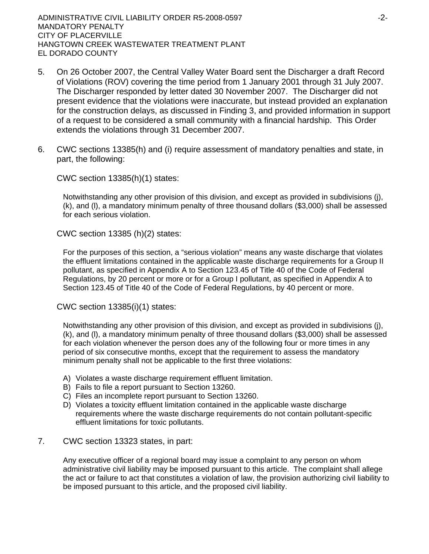ADMINISTRATIVE CIVIL LIABILITY ORDER R5-2008-0597 -2- MANDATORY PENALTY CITY OF PLACERVILLE HANGTOWN CREEK WASTEWATER TREATMENT PLANT EL DORADO COUNTY

- 5. On 26 October 2007, the Central Valley Water Board sent the Discharger a draft Record of Violations (ROV) covering the time period from 1 January 2001 through 31 July 2007. The Discharger responded by letter dated 30 November 2007. The Discharger did not present evidence that the violations were inaccurate, but instead provided an explanation for the construction delays, as discussed in Finding 3, and provided information in support of a request to be considered a small community with a financial hardship. This Order extends the violations through 31 December 2007.
- 6. CWC sections 13385(h) and (i) require assessment of mandatory penalties and state, in part, the following:

CWC section 13385(h)(1) states:

Notwithstanding any other provision of this division, and except as provided in subdivisions (j), (k), and (l), a mandatory minimum penalty of three thousand dollars (\$3,000) shall be assessed for each serious violation.

CWC section 13385 (h)(2) states:

For the purposes of this section, a "serious violation" means any waste discharge that violates the effluent limitations contained in the applicable waste discharge requirements for a Group II pollutant, as specified in Appendix A to Section 123.45 of Title 40 of the Code of Federal Regulations, by 20 percent or more or for a Group I pollutant, as specified in Appendix A to Section 123.45 of Title 40 of the Code of Federal Regulations, by 40 percent or more.

CWC section 13385(i)(1) states:

Notwithstanding any other provision of this division, and except as provided in subdivisions (j), (k), and (l), a mandatory minimum penalty of three thousand dollars (\$3,000) shall be assessed for each violation whenever the person does any of the following four or more times in any period of six consecutive months, except that the requirement to assess the mandatory minimum penalty shall not be applicable to the first three violations:

- A) Violates a waste discharge requirement effluent limitation.
- B) Fails to file a report pursuant to Section 13260.
- C) Files an incomplete report pursuant to Section 13260.
- D) Violates a toxicity effluent limitation contained in the applicable waste discharge requirements where the waste discharge requirements do not contain pollutant-specific effluent limitations for toxic pollutants.
- 7. CWC section 13323 states, in part:

Any executive officer of a regional board may issue a complaint to any person on whom administrative civil liability may be imposed pursuant to this article. The complaint shall allege the act or failure to act that constitutes a violation of law, the provision authorizing civil liability to be imposed pursuant to this article, and the proposed civil liability.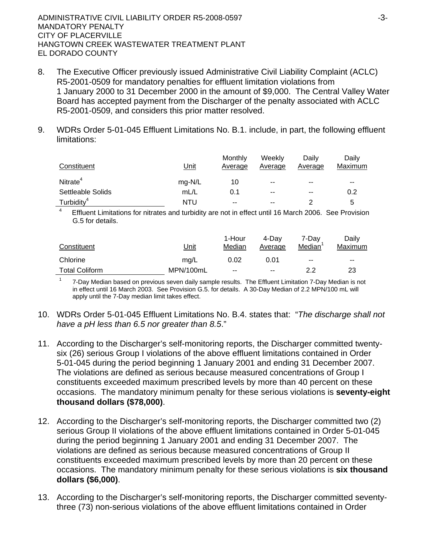1

- 8. The Executive Officer previously issued Administrative Civil Liability Complaint (ACLC) R5-2001-0509 for mandatory penalties for effluent limitation violations from 1 January 2000 to 31 December 2000 in the amount of \$9,000. The Central Valley Water Board has accepted payment from the Discharger of the penalty associated with ACLC R5-2001-0509, and considers this prior matter resolved.
- 9. WDRs Order 5-01-045 Effluent Limitations No. B.1. include, in part, the following effluent limitations:

| Constituent            | Unit   | Monthly<br>Average | Weekly<br>Average | Dailv<br>Average | Dailv<br>Maximum |
|------------------------|--------|--------------------|-------------------|------------------|------------------|
| Nitrate <sup>4</sup>   | mg-N/L | 10                 | $- -$             | $- -$            | $- -$            |
| Settleable Solids      | mL/L   | 0.1                | $- -$             | $- -$            | 0.2              |
| Turbidity <sup>4</sup> | NTU    | $- -$              | $- -$             |                  | h                |

4 Effluent Limitations for nitrates and turbidity are not in effect until 16 March 2006. See Provision G.5 for details.

| Constituent           | Unit      | 1-Hour<br>Median | 4-Dav<br>Average | 7-Dav<br>Median | Daily<br>Maximum |
|-----------------------|-----------|------------------|------------------|-----------------|------------------|
| Chlorine              | mg/L      | 0.02             | 0.01             | --              | $- -$            |
| <b>Total Coliform</b> | MPN/100mL | $-$              | $\sim$           | 22              | 23               |

 7-Day Median based on previous seven daily sample results. The Effluent Limitation 7-Day Median is not in effect until 16 March 2003. See Provision G.5. for details. A 30-Day Median of 2.2 MPN/100 mL will apply until the 7-Day median limit takes effect.

- 10. WDRs Order 5-01-045 Effluent Limitations No. B.4. states that: "*The discharge shall not have a pH less than 6.5 nor greater than 8.5*."
- 11. According to the Discharger's self-monitoring reports, the Discharger committed twentysix (26) serious Group I violations of the above effluent limitations contained in Order 5-01-045 during the period beginning 1 January 2001 and ending 31 December 2007. The violations are defined as serious because measured concentrations of Group I constituents exceeded maximum prescribed levels by more than 40 percent on these occasions. The mandatory minimum penalty for these serious violations is **seventy-eight thousand dollars (\$78,000)**.
- 12. According to the Discharger's self-monitoring reports, the Discharger committed two (2) serious Group II violations of the above effluent limitations contained in Order 5-01-045 during the period beginning 1 January 2001 and ending 31 December 2007. The violations are defined as serious because measured concentrations of Group II constituents exceeded maximum prescribed levels by more than 20 percent on these occasions. The mandatory minimum penalty for these serious violations is **six thousand dollars (\$6,000)**.
- 13. According to the Discharger's self-monitoring reports, the Discharger committed seventythree (73) non-serious violations of the above effluent limitations contained in Order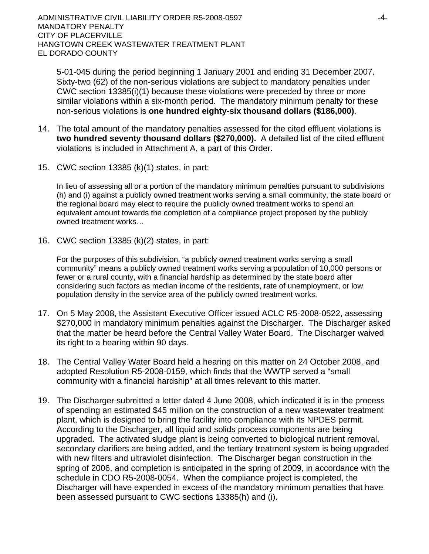ADMINISTRATIVE CIVIL LIABILITY ORDER R5-2008-0597 -4- MANDATORY PENALTY CITY OF PLACERVILLE HANGTOWN CREEK WASTEWATER TREATMENT PLANT EL DORADO COUNTY

5-01-045 during the period beginning 1 January 2001 and ending 31 December 2007. Sixty-two (62) of the non-serious violations are subject to mandatory penalties under CWC section 13385(i)(1) because these violations were preceded by three or more similar violations within a six-month period. The mandatory minimum penalty for these non-serious violations is **one hundred eighty-six thousand dollars (\$186,000)**.

- 14. The total amount of the mandatory penalties assessed for the cited effluent violations is **two hundred seventy thousand dollars (\$270,000).** A detailed list of the cited effluent violations is included in Attachment A, a part of this Order.
- 15. CWC section 13385 (k)(1) states, in part:

In lieu of assessing all or a portion of the mandatory minimum penalties pursuant to subdivisions (h) and (i) against a publicly owned treatment works serving a small community, the state board or the regional board may elect to require the publicly owned treatment works to spend an equivalent amount towards the completion of a compliance project proposed by the publicly owned treatment works…

16. CWC section 13385 (k)(2) states, in part:

For the purposes of this subdivision, "a publicly owned treatment works serving a small community" means a publicly owned treatment works serving a population of 10,000 persons or fewer or a rural county, with a financial hardship as determined by the state board after considering such factors as median income of the residents, rate of unemployment, or low population density in the service area of the publicly owned treatment works.

- 17. On 5 May 2008, the Assistant Executive Officer issued ACLC R5-2008-0522, assessing \$270,000 in mandatory minimum penalties against the Discharger. The Discharger asked that the matter be heard before the Central Valley Water Board. The Discharger waived its right to a hearing within 90 days.
- 18. The Central Valley Water Board held a hearing on this matter on 24 October 2008, and adopted Resolution R5-2008-0159, which finds that the WWTP served a "small community with a financial hardship" at all times relevant to this matter.
- 19. The Discharger submitted a letter dated 4 June 2008, which indicated it is in the process of spending an estimated \$45 million on the construction of a new wastewater treatment plant, which is designed to bring the facility into compliance with its NPDES permit. According to the Discharger, all liquid and solids process components are being upgraded. The activated sludge plant is being converted to biological nutrient removal, secondary clarifiers are being added, and the tertiary treatment system is being upgraded with new filters and ultraviolet disinfection. The Discharger began construction in the spring of 2006, and completion is anticipated in the spring of 2009, in accordance with the schedule in CDO R5-2008-0054. When the compliance project is completed, the Discharger will have expended in excess of the mandatory minimum penalties that have been assessed pursuant to CWC sections 13385(h) and (i).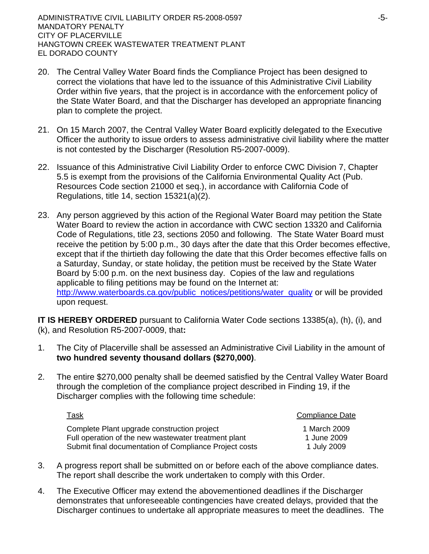- 20. The Central Valley Water Board finds the Compliance Project has been designed to correct the violations that have led to the issuance of this Administrative Civil Liability Order within five years, that the project is in accordance with the enforcement policy of the State Water Board, and that the Discharger has developed an appropriate financing plan to complete the project.
- 21. On 15 March 2007, the Central Valley Water Board explicitly delegated to the Executive Officer the authority to issue orders to assess administrative civil liability where the matter is not contested by the Discharger (Resolution R5-2007-0009).
- 22. Issuance of this Administrative Civil Liability Order to enforce CWC Division 7, Chapter 5.5 is exempt from the provisions of the California Environmental Quality Act (Pub. Resources Code section 21000 et seq.), in accordance with California Code of Regulations, title 14, section 15321(a)(2).
- 23. Any person aggrieved by this action of the Regional Water Board may petition the State Water Board to review the action in accordance with CWC section 13320 and California Code of Regulations, title 23, sections 2050 and following. The State Water Board must receive the petition by 5:00 p.m., 30 days after the date that this Order becomes effective, except that if the thirtieth day following the date that this Order becomes effective falls on a Saturday, Sunday, or state holiday, the petition must be received by the State Water Board by 5:00 p.m. on the next business day. Copies of the law and regulations applicable to filing petitions may be found on the Internet at: [http://www.waterboards.ca.gov/public\\_notices/petitions/water\\_quality](http://www.waterboards.ca.gov/public_notices/petitions/water_quality) or will be provided upon request.

**IT IS HEREBY ORDERED** pursuant to California Water Code sections 13385(a), (h), (i), and (k), and Resolution R5-2007-0009, that**:**

- 1. The City of Placerville shall be assessed an Administrative Civil Liability in the amount of **two hundred seventy thousand dollars (\$270,000)**.
- 2. The entire \$270,000 penalty shall be deemed satisfied by the Central Valley Water Board through the completion of the compliance project described in Finding 19, if the Discharger complies with the following time schedule:

| <u>Task</u>                                                                                                    | <b>Compliance Date</b>     |
|----------------------------------------------------------------------------------------------------------------|----------------------------|
| Complete Plant upgrade construction project                                                                    | 1 March 2009               |
| Full operation of the new wastewater treatment plant<br>Submit final documentation of Compliance Project costs | 1 June 2009<br>1 July 2009 |

- 3. A progress report shall be submitted on or before each of the above compliance dates. The report shall describe the work undertaken to comply with this Order.
- 4. The Executive Officer may extend the abovementioned deadlines if the Discharger demonstrates that unforeseeable contingencies have created delays, provided that the Discharger continues to undertake all appropriate measures to meet the deadlines. The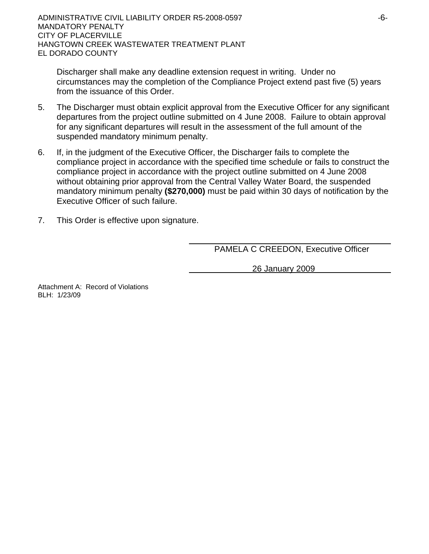Discharger shall make any deadline extension request in writing. Under no circumstances may the completion of the Compliance Project extend past five (5) years from the issuance of this Order.

- 5. The Discharger must obtain explicit approval from the Executive Officer for any significant departures from the project outline submitted on 4 June 2008. Failure to obtain approval for any significant departures will result in the assessment of the full amount of the suspended mandatory minimum penalty.
- 6. If, in the judgment of the Executive Officer, the Discharger fails to complete the compliance project in accordance with the specified time schedule or fails to construct the compliance project in accordance with the project outline submitted on 4 June 2008 without obtaining prior approval from the Central Valley Water Board, the suspended mandatory minimum penalty **(\$270,000)** must be paid within 30 days of notification by the Executive Officer of such failure.
- 7. This Order is effective upon signature.

PAMELA C CREEDON, Executive Officer

26 January 2009

Attachment A: Record of Violations BLH: 1/23/09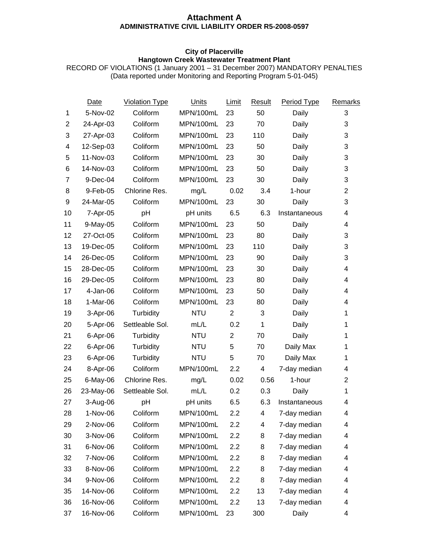#### **Attachment A ADMINISTRATIVE CIVIL LIABILITY ORDER R5-2008-0597**

#### **City of Placerville Hangtown Creek Wastewater Treatment Plant**

RECORD OF VIOLATIONS (1 January 2001 – 31 December 2007) MANDATORY PENALTIES (Data reported under Monitoring and Reporting Program 5-01-045)

|    | Date      | <b>Violation Type</b> | Units      | Limit          | Result         | Period Type   | Remarks                 |
|----|-----------|-----------------------|------------|----------------|----------------|---------------|-------------------------|
| 1  | 5-Nov-02  | Coliform              | MPN/100mL  | 23             | 50             | Daily         | $\sqrt{3}$              |
| 2  | 24-Apr-03 | Coliform              | MPN/100mL  | 23             | 70             | Daily         | 3                       |
| 3  | 27-Apr-03 | Coliform              | MPN/100mL  | 23             | 110            | Daily         | 3                       |
| 4  | 12-Sep-03 | Coliform              | MPN/100mL  | 23             | 50             | Daily         | 3                       |
| 5  | 11-Nov-03 | Coliform              | MPN/100mL  | 23             | 30             | Daily         | 3                       |
| 6  | 14-Nov-03 | Coliform              | MPN/100mL  | 23             | 50             | Daily         | 3                       |
| 7  | 9-Dec-04  | Coliform              | MPN/100mL  | 23             | 30             | Daily         | 3                       |
| 8  | 9-Feb-05  | Chlorine Res.         | mg/L       | 0.02           | 3.4            | 1-hour        | $\overline{2}$          |
| 9  | 24-Mar-05 | Coliform              | MPN/100mL  | 23             | 30             | Daily         | 3                       |
| 10 | 7-Apr-05  | pH                    | pH units   | 6.5            | 6.3            | Instantaneous | $\overline{\mathbf{4}}$ |
| 11 | 9-May-05  | Coliform              | MPN/100mL  | 23             | 50             | Daily         | 4                       |
| 12 | 27-Oct-05 | Coliform              | MPN/100mL  | 23             | 80             | Daily         | 3                       |
| 13 | 19-Dec-05 | Coliform              | MPN/100mL  | 23             | 110            | Daily         | 3                       |
| 14 | 26-Dec-05 | Coliform              | MPN/100mL  | 23             | 90             | Daily         | 3                       |
| 15 | 28-Dec-05 | Coliform              | MPN/100mL  | 23             | 30             | Daily         | 4                       |
| 16 | 29-Dec-05 | Coliform              | MPN/100mL  | 23             | 80             | Daily         | 4                       |
| 17 | 4-Jan-06  | Coliform              | MPN/100mL  | 23             | 50             | Daily         | $\overline{\mathbf{4}}$ |
| 18 | 1-Mar-06  | Coliform              | MPN/100mL  | 23             | 80             | Daily         | 4                       |
| 19 | 3-Apr-06  | Turbidity             | <b>NTU</b> | $\overline{2}$ | 3              | Daily         | 1                       |
| 20 | 5-Apr-06  | Settleable Sol.       | mL/L       | 0.2            | 1              | Daily         | 1                       |
| 21 | 6-Apr-06  | Turbidity             | <b>NTU</b> | $\overline{c}$ | 70             | Daily         | 1                       |
| 22 | 6-Apr-06  | Turbidity             | <b>NTU</b> | 5              | 70             | Daily Max     | 1                       |
| 23 | 6-Apr-06  | Turbidity             | <b>NTU</b> | 5              | 70             | Daily Max     | $\mathbf{1}$            |
| 24 | 8-Apr-06  | Coliform              | MPN/100mL  | 2.2            | 4              | 7-day median  | 4                       |
| 25 | 6-May-06  | Chlorine Res.         | mg/L       | 0.02           | 0.56           | 1-hour        | $\overline{2}$          |
| 26 | 23-May-06 | Settleable Sol.       | mL/L       | 0.2            | 0.3            | Daily         | $\mathbf{1}$            |
| 27 | 3-Aug-06  | pH                    | pH units   | 6.5            | 6.3            | Instantaneous | 4                       |
| 28 | 1-Nov-06  | Coliform              | MPN/100mL  | 2.2            | $\overline{4}$ | 7-day median  | 4                       |
| 29 | 2-Nov-06  | Coliform              | MPN/100mL  | 2.2            | 4              | 7-day median  | 4                       |
| 30 | 3-Nov-06  | Coliform              | MPN/100mL  | 2.2            | 8              | 7-day median  | 4                       |
| 31 | 6-Nov-06  | Coliform              | MPN/100mL  | 2.2            | 8              | 7-day median  | 4                       |
| 32 | 7-Nov-06  | Coliform              | MPN/100mL  | 2.2            | 8              | 7-day median  | 4                       |
| 33 | 8-Nov-06  | Coliform              | MPN/100mL  | 2.2            | 8              | 7-day median  | 4                       |
| 34 | 9-Nov-06  | Coliform              | MPN/100mL  | 2.2            | 8              | 7-day median  | 4                       |
| 35 | 14-Nov-06 | Coliform              | MPN/100mL  | 2.2            | 13             | 7-day median  | 4                       |
| 36 | 16-Nov-06 | Coliform              | MPN/100mL  | 2.2            | 13             | 7-day median  | 4                       |
| 37 | 16-Nov-06 | Coliform              | MPN/100mL  | 23             | 300            | Daily         | 4                       |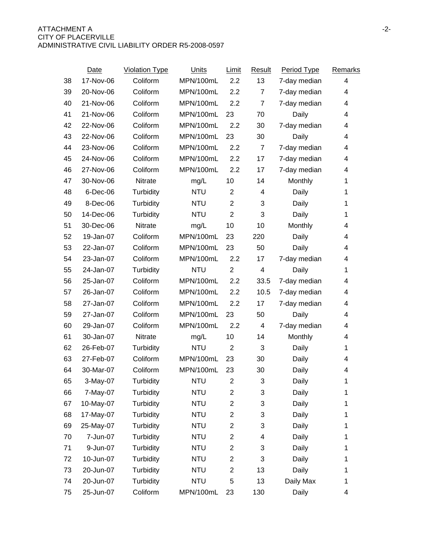|    | Date      | <b>Violation Type</b> | Units      | Limit            | <b>Result</b>  | Period Type  | Remarks      |
|----|-----------|-----------------------|------------|------------------|----------------|--------------|--------------|
| 38 | 17-Nov-06 | Coliform              | MPN/100mL  | 2.2              | 13             | 7-day median | 4            |
| 39 | 20-Nov-06 | Coliform              | MPN/100mL  | 2.2              | $\overline{7}$ | 7-day median | 4            |
| 40 | 21-Nov-06 | Coliform              | MPN/100mL  | 2.2              | $\overline{7}$ | 7-day median | 4            |
| 41 | 21-Nov-06 | Coliform              | MPN/100mL  | 23               | 70             | Daily        | 4            |
| 42 | 22-Nov-06 | Coliform              | MPN/100mL  | 2.2              | 30             | 7-day median | 4            |
| 43 | 22-Nov-06 | Coliform              | MPN/100mL  | 23               | 30             | Daily        | 4            |
| 44 | 23-Nov-06 | Coliform              | MPN/100mL  | 2.2              | $\overline{7}$ | 7-day median | 4            |
| 45 | 24-Nov-06 | Coliform              | MPN/100mL  | 2.2              | 17             | 7-day median | 4            |
| 46 | 27-Nov-06 | Coliform              | MPN/100mL  | 2.2              | 17             | 7-day median | 4            |
| 47 | 30-Nov-06 | Nitrate               | mg/L       | 10               | 14             | Monthly      | 1            |
| 48 | 6-Dec-06  | Turbidity             | <b>NTU</b> | 2                | 4              | Daily        | 1            |
| 49 | 8-Dec-06  | Turbidity             | <b>NTU</b> | $\overline{2}$   | 3              | Daily        | 1            |
| 50 | 14-Dec-06 | Turbidity             | <b>NTU</b> | $\overline{2}$   | 3              | Daily        | 1            |
| 51 | 30-Dec-06 | <b>Nitrate</b>        | mg/L       | 10               | 10             | Monthly      | 4            |
| 52 | 19-Jan-07 | Coliform              | MPN/100mL  | 23               | 220            | Daily        | 4            |
| 53 | 22-Jan-07 | Coliform              | MPN/100mL  | 23               | 50             | Daily        | 4            |
| 54 | 23-Jan-07 | Coliform              | MPN/100mL  | 2.2              | 17             | 7-day median | 4            |
| 55 | 24-Jan-07 | Turbidity             | <b>NTU</b> | $\overline{2}$   | 4              | Daily        | 1            |
| 56 | 25-Jan-07 | Coliform              | MPN/100mL  | 2.2              | 33.5           | 7-day median | 4            |
| 57 | 26-Jan-07 | Coliform              | MPN/100mL  | 2.2              | 10.5           | 7-day median | 4            |
| 58 | 27-Jan-07 | Coliform              | MPN/100mL  | 2.2              | 17             | 7-day median | 4            |
| 59 | 27-Jan-07 | Coliform              | MPN/100mL  | 23               | 50             | Daily        | 4            |
| 60 | 29-Jan-07 | Coliform              | MPN/100mL  | 2.2              | 4              | 7-day median | 4            |
| 61 | 30-Jan-07 | Nitrate               | mg/L       | 10               | 14             | Monthly      | 4            |
| 62 | 26-Feb-07 | Turbidity             | <b>NTU</b> | $\overline{2}$   | 3              | Daily        | 1            |
| 63 | 27-Feb-07 | Coliform              | MPN/100mL  | 23               | 30             | Daily        | 4            |
| 64 | 30-Mar-07 | Coliform              | MPN/100mL  | 23               | 30             | Daily        | 4            |
| 65 | 3-May-07  | Turbidity             | <b>NTU</b> | $\boldsymbol{2}$ | $\sqrt{3}$     | Daily        | $\mathbf 1$  |
| 66 | 7-May-07  | Turbidity             | <b>NTU</b> | $\overline{c}$   | 3              | Daily        | 1            |
| 67 | 10-May-07 | Turbidity             | <b>NTU</b> | $\overline{c}$   | 3              | Daily        | 1            |
| 68 | 17-May-07 | Turbidity             | <b>NTU</b> | $\overline{2}$   | 3              | Daily        | $\mathbf{1}$ |
| 69 | 25-May-07 | Turbidity             | <b>NTU</b> | $\overline{2}$   | 3              | Daily        | 1            |
| 70 | 7-Jun-07  | Turbidity             | <b>NTU</b> | $\overline{2}$   | 4              | Daily        | 1            |
| 71 | 9-Jun-07  | Turbidity             | <b>NTU</b> | $\overline{2}$   | 3              | Daily        | 1            |
| 72 | 10-Jun-07 | Turbidity             | <b>NTU</b> | $\overline{2}$   | 3              | Daily        | 1            |
| 73 | 20-Jun-07 | Turbidity             | <b>NTU</b> | $\overline{2}$   | 13             | Daily        | 1            |
| 74 | 20-Jun-07 | Turbidity             | <b>NTU</b> | 5                | 13             | Daily Max    | 1            |
| 75 | 25-Jun-07 | Coliform              | MPN/100mL  | 23               | 130            | Daily        | 4            |
|    |           |                       |            |                  |                |              |              |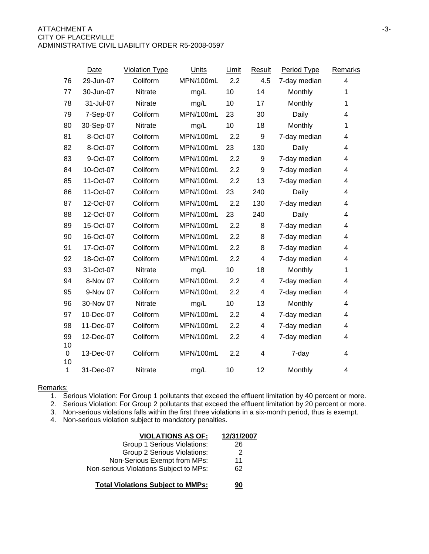|              | Date      | <b>Violation Type</b> | <b>Units</b> | Limit | Result | Period Type  | Remarks                 |
|--------------|-----------|-----------------------|--------------|-------|--------|--------------|-------------------------|
| 76           | 29-Jun-07 | Coliform              | MPN/100mL    | 2.2   | 4.5    | 7-day median | $\overline{\mathbf{4}}$ |
| 77           | 30-Jun-07 | <b>Nitrate</b>        | mg/L         | 10    | 14     | Monthly      | 1                       |
| 78           | 31-Jul-07 | <b>Nitrate</b>        | mg/L         | 10    | 17     | Monthly      | 1                       |
| 79           | 7-Sep-07  | Coliform              | MPN/100mL    | 23    | 30     | Daily        | 4                       |
| 80           | 30-Sep-07 | Nitrate               | mg/L         | 10    | 18     | Monthly      | 1                       |
| 81           | 8-Oct-07  | Coliform              | MPN/100mL    | 2.2   | 9      | 7-day median | 4                       |
| 82           | 8-Oct-07  | Coliform              | MPN/100mL    | 23    | 130    | Daily        | 4                       |
| 83           | 9-Oct-07  | Coliform              | MPN/100mL    | 2.2   | 9      | 7-day median | 4                       |
| 84           | 10-Oct-07 | Coliform              | MPN/100mL    | 2.2   | 9      | 7-day median | 4                       |
| 85           | 11-Oct-07 | Coliform              | MPN/100mL    | 2.2   | 13     | 7-day median | 4                       |
| 86           | 11-Oct-07 | Coliform              | MPN/100mL    | 23    | 240    | Daily        | 4                       |
| 87           | 12-Oct-07 | Coliform              | MPN/100mL    | 2.2   | 130    | 7-day median | 4                       |
| 88           | 12-Oct-07 | Coliform              | MPN/100mL    | 23    | 240    | Daily        | 4                       |
| 89           | 15-Oct-07 | Coliform              | MPN/100mL    | 2.2   | 8      | 7-day median | 4                       |
| 90           | 16-Oct-07 | Coliform              | MPN/100mL    | 2.2   | 8      | 7-day median | 4                       |
| 91           | 17-Oct-07 | Coliform              | MPN/100mL    | 2.2   | 8      | 7-day median | 4                       |
| 92           | 18-Oct-07 | Coliform              | MPN/100mL    | 2.2   | 4      | 7-day median | 4                       |
| 93           | 31-Oct-07 | Nitrate               | mg/L         | 10    | 18     | Monthly      | 1                       |
| 94           | 8-Nov 07  | Coliform              | MPN/100mL    | 2.2   | 4      | 7-day median | 4                       |
| 95           | 9-Nov 07  | Coliform              | MPN/100mL    | 2.2   | 4      | 7-day median | 4                       |
| 96           | 30-Nov 07 | <b>Nitrate</b>        | mg/L         | 10    | 13     | Monthly      | 4                       |
| 97           | 10-Dec-07 | Coliform              | MPN/100mL    | 2.2   | 4      | 7-day median | 4                       |
| 98           | 11-Dec-07 | Coliform              | MPN/100mL    | 2.2   | 4      | 7-day median | 4                       |
| 99<br>10     | 12-Dec-07 | Coliform              | MPN/100mL    | 2.2   | 4      | 7-day median | 4                       |
| 0<br>10      | 13-Dec-07 | Coliform              | MPN/100mL    | 2.2   | 4      | 7-day        | 4                       |
| $\mathbf{1}$ | 31-Dec-07 | Nitrate               | mg/L         | 10    | 12     | Monthly      | 4                       |

#### Remarks:

1. Serious Violation: For Group 1 pollutants that exceed the effluent limitation by 40 percent or more.

2. Serious Violation: For Group 2 pollutants that exceed the effluent limitation by 20 percent or more.

3. Non-serious violations falls within the first three violations in a six-month period, thus is exempt.

4. Non-serious violation subject to mandatory penalties.

| <b>VIOLATIONS AS OF:</b>                 | 12/31/2007 |
|------------------------------------------|------------|
| Group 1 Serious Violations:              | 26         |
| Group 2 Serious Violations:              | 2          |
| Non-Serious Exempt from MPs:             | 11         |
| Non-serious Violations Subject to MPs:   | 62         |
| <b>Total Violations Subject to MMPs:</b> |            |